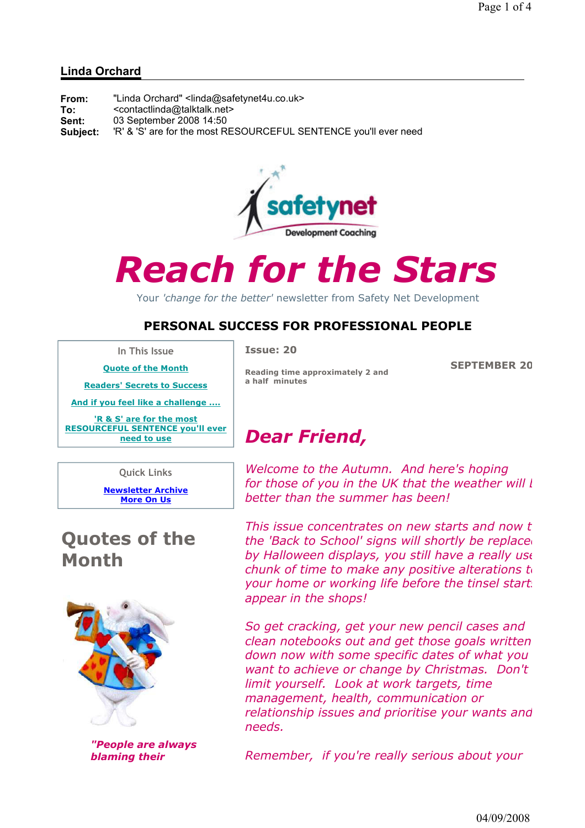#### Linda Orchard

| From:    | "Linda Orchard" <linda@safetynet4u.co.uk></linda@safetynet4u.co.uk> |
|----------|---------------------------------------------------------------------|
| To:      | <contactlinda@talktalk.net></contactlinda@talktalk.net>             |
| Sent:    | 03 September 2008 14:50                                             |
| Subject: | 'R' & 'S' are for the most RESOURCEFUL SENTENCE you'll ever need    |



# Reach for the Stars

Your 'change for the better' newsletter from Safety Net Development

#### PERSONAL SUCCESS FOR PROFESSIONAL PEOPLE

In This Issue

Issue: 20

SEPTEMBER 20

Quote of the Month Readers' Secrets to Success

And if you feel like a challenge ....

'R & S' are for the most RESOURCEFUL SENTENCE you'll ever need to use

Quick Links

Newsletter Archive More On Us

### Quotes of the Month



"People are always blaming their

Reading time approximately 2 and a half minutes

## Dear Friend,

Welcome to the Autumn. And here's hoping for those of you in the UK that the weather will  $l$ better than the summer has been!

This issue concentrates on new starts and now that the 'Back to School' signs will shortly be replaced by Halloween displays, you still have a really use chunk of time to make any positive alterations  $t_0$ your home or working life before the tinsel starts appear in the shops!

So get cracking, get your new pencil cases and clean notebooks out and get those goals written down now with some specific dates of what you want to achieve or change by Christmas. Don't limit yourself. Look at work targets, time management, health, communication or relationship issues and prioritise your wants and needs.

Remember, if you're really serious about your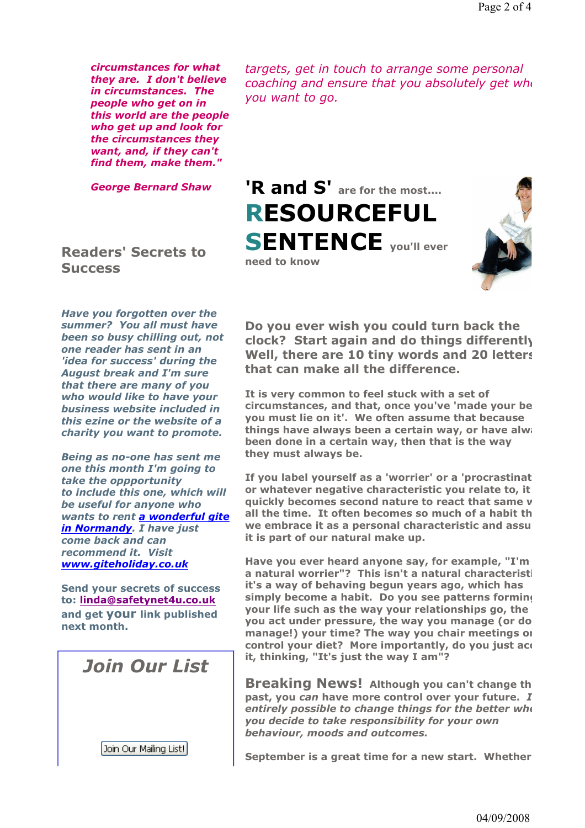circumstances for what they are. I don't believe in circumstances. The people who get on in this world are the people who get up and look for the circumstances they want, and, if they can't find them, make them."

George Bernard Shaw

targets, get in touch to arrange some personal  $coaching$  and ensure that you absolutely get when you want to go.

'R and S' are for the most.... RESOURCEFUL **SENTENCE** you'll ever need to know



Readers' Secrets to **Success** 

Have you forgotten over the summer? You all must have been so busy chilling out, not one reader has sent in an 'idea for success' during the August break and I'm sure that there are many of you who would like to have your business website included in this ezine or the website of a charity you want to promote.

Being as no-one has sent me one this month I'm going to take the oppportunity to include this one, which will be useful for anyone who wants to rent a wonderful gite in Normandy. I have just come back and can recommend it. Visit www.giteholiday.co.uk

Send your secrets of success to: linda@safetynet4u.co.uk and get your link published next month.

Join Our List

Join Our Mailing List!

I,

Do you ever wish you could turn back the clock? Start again and do things differently? Well, there are 10 tiny words and 20 letters that can make all the difference.

It is very common to feel stuck with a set of circumstances, and that, once you've 'made your bed, you must lie on it'. We often assume that because things have always been a certain way, or have always been done in a certain way, then that is the way they must always be.

If you label yourself as a 'worrier' or a 'procrastinat or whatever negative characteristic you relate to, it quickly becomes second nature to react that same y all the time. It often becomes so much of a habit th we embrace it as a personal characteristic and assu it is part of our natural make up.

Have you ever heard anyone say, for example, "I'm a natural worrier"? This isn't a natural characteristi it's a way of behaving begun years ago, which has simply become a habit. Do you see patterns forming your life such as the way your relationships go, the you act under pressure, the way you manage (or do manage!) your time? The way you chair meetings or control your diet? More importantly, do you just ace it, thinking, "It's just the way I am"?

Breaking News! Although you can't change the past, you can have more control over your future.  $I$ entirely possible to change things for the better when you decide to take responsibility for your own behaviour, moods and outcomes.

September is a great time for a new start. Whether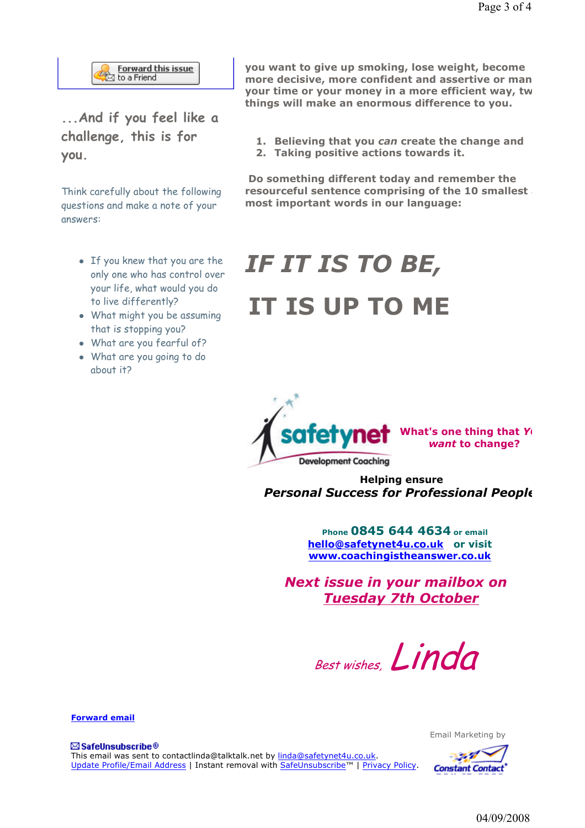

...And if you feel like a challenge, this is for you.

Think carefully about the following questions and make a note of your answers:

- If you knew that you are the only one who has control over your life, what would you do to live differently?
- What might you be assuming that is stopping you?
- What are you fearful of?
- What are you going to do about it?

you want to give up smoking, lose weight, become more decisive, more confident and assertive or man your time or your money in a more efficient way, tw things will make an enormous difference to you.

- 1. Believing that you can create the change and
- 2. Taking positive actions towards it.

 Do something different today and remember the resourceful sentence comprising of the 10 smallest most important words in our language:

## IF IT IS TO BE, IT IS UP TO ME



 Helping ensure Personal Success for Professional People

> Phone 0845 644 4634 or email hello@safetynet4u.co.uk or visit www.coachingistheanswer.co.uk

Next issue in your mailbox on Tuesday 7th October

Best wishes, Linda

Forward email

⊠ SafeUnsubscribe® This email was sent to contactlinda@talktalk.net by linda@safetynet4u.co.uk. Update Profile/Email Address | Instant removal with SafeUnsubscribe™ | Privacy Policy. Email Marketing by